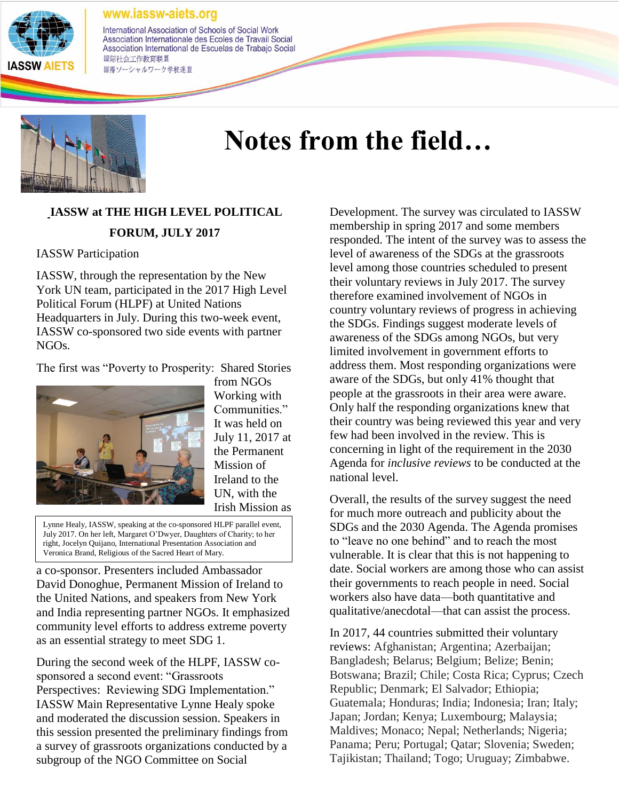

International Association of Schools of Social Work Association Internationale des Ecoles de Travail Social Association International de Escuelas de Trabajo Social 国际社会工作教育联盟 国際ソーシャルワーク学校連盟



# **Notes from the field…**

# **IASSW at THE HIGH LEVEL POLITICAL FORUM, JULY 2017**

#### IASSW Participation

IASSW, through the representation by the New York UN team, participated in the 2017 High Level Political Forum (HLPF) at United Nations Headquarters in July. During this two-week event, IASSW co-sponsored two side events with partner NGOs.

The first was "Poverty to Prosperity: Shared Stories



from NGOs Working with Communities." It was held on July 11, 2017 at the Permanent Mission of Ireland to the UN, with the Irish Mission as

Lynne Healy, IASSW, speaking at the co-sponsored HLPF parallel event, July 2017. On her left, Margaret O'Dwyer, Daughters of Charity; to her right, Jocelyn Quijano, International Presentation Association and Veronica Brand, Religious of the Sacred Heart of Mary.

a co-sponsor. Presenters included Ambassador David Donoghue, Permanent Mission of Ireland to the United Nations, and speakers from New York and India representing partner NGOs. It emphasized community level efforts to address extreme poverty as an essential strategy to meet SDG 1.

During the second week of the HLPF, IASSW cosponsored a second event: "Grassroots Perspectives: Reviewing SDG Implementation." IASSW Main Representative Lynne Healy spoke and moderated the discussion session. Speakers in this session presented the preliminary findings from a survey of grassroots organizations conducted by a subgroup of the NGO Committee on Social

Development. The survey was circulated to IASSW membership in spring 2017 and some members responded. The intent of the survey was to assess the level of awareness of the SDGs at the grassroots level among those countries scheduled to present their voluntary reviews in July 2017. The survey therefore examined involvement of NGOs in country voluntary reviews of progress in achieving the SDGs. Findings suggest moderate levels of awareness of the SDGs among NGOs, but very limited involvement in government efforts to address them. Most responding organizations were aware of the SDGs, but only 41% thought that people at the grassroots in their area were aware. Only half the responding organizations knew that their country was being reviewed this year and very few had been involved in the review. This is concerning in light of the requirement in the 2030 Agenda for *inclusive reviews* to be conducted at the national level.

Overall, the results of the survey suggest the need for much more outreach and publicity about the SDGs and the 2030 Agenda. The Agenda promises to "leave no one behind" and to reach the most vulnerable. It is clear that this is not happening to date. Social workers are among those who can assist their governments to reach people in need. Social workers also have data—both quantitative and qualitative/anecdotal—that can assist the process.

In 2017, 44 countries submitted their voluntary reviews: Afghanistan; Argentina; Azerbaijan; Bangladesh; Belarus; Belgium; Belize; Benin; Botswana; Brazil; Chile; Costa Rica; Cyprus; Czech Republic; Denmark; El Salvador; Ethiopia; Guatemala; Honduras; India; Indonesia; Iran; Italy; Japan; Jordan; Kenya; Luxembourg; Malaysia; Maldives; Monaco; Nepal; Netherlands; Nigeria; Panama; Peru; Portugal; Qatar; Slovenia; Sweden; Tajikistan; Thailand; Togo; Uruguay; Zimbabwe.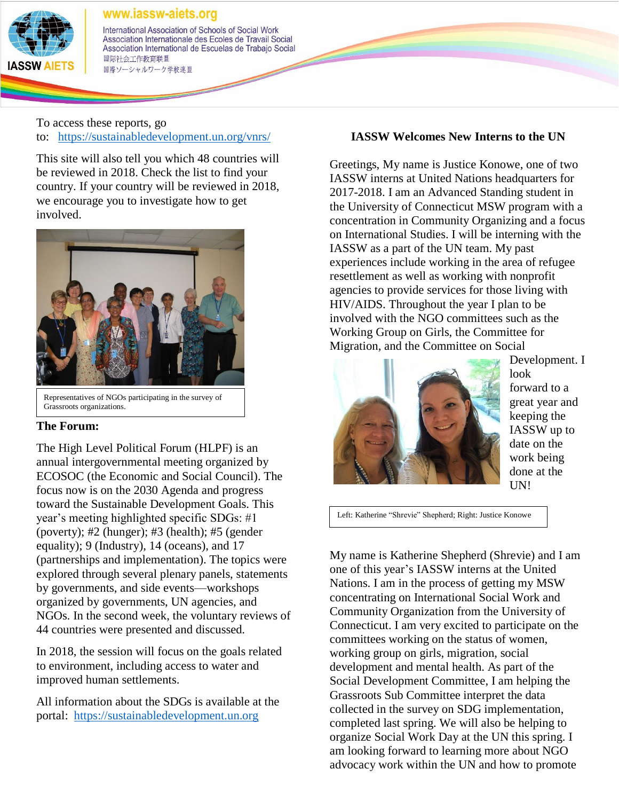

International Association of Schools of Social Work Association Internationale des Ecoles de Travail Social Association International de Escuelas de Trabajo Social 国际社会工作教育联盟 国際ソーシャルワーク学校連盟

To access these reports, go to: <https://sustainabledevelopment.un.org/vnrs/>

This site will also tell you which 48 countries will be reviewed in 2018. Check the list to find your country. If your country will be reviewed in 2018, we encourage you to investigate how to get involved.



Grassroots organizations.

## **The Forum:**

The High Level Political Forum (HLPF) is an annual intergovernmental meeting organized by ECOSOC (the Economic and Social Council). The focus now is on the 2030 Agenda and progress toward the Sustainable Development Goals. This year's meeting highlighted specific SDGs: #1 (poverty); #2 (hunger); #3 (health); #5 (gender equality); 9 (Industry), 14 (oceans), and 17 (partnerships and implementation). The topics were explored through several plenary panels, statements by governments, and side events—workshops organized by governments, UN agencies, and NGOs. In the second week, the voluntary reviews of 44 countries were presented and discussed.

In 2018, the session will focus on the goals related to environment, including access to water and improved human settlements.

All information about the SDGs is available at the portal: [https://sustainabledevelopment.un.org](https://sustainabledevelopment.un.org/)

## **IASSW Welcomes New Interns to the UN**

Greetings, My name is Justice Konowe, one of two IASSW interns at United Nations headquarters for 2017-2018. I am an Advanced Standing student in the University of Connecticut MSW program with a concentration in Community Organizing and a focus on International Studies. I will be interning with the IASSW as a part of the UN team. My past experiences include working in the area of refugee resettlement as well as working with nonprofit agencies to provide services for those living with HIV/AIDS. Throughout the year I plan to be involved with the NGO committees such as the Working Group on Girls, the Committee for Migration, and the Committee on Social



Development. I look forward to a great year and keeping the IASSW up to date on the work being done at the UN!

Left: Katherine "Shrevie" Shepherd; Right: Justice Konowe

My name is Katherine Shepherd (Shrevie) and I am one of this year's IASSW interns at the United Nations. I am in the process of getting my MSW concentrating on International Social Work and Community Organization from the University of Connecticut. I am very excited to participate on the committees working on the status of women, working group on girls, migration, social development and mental health. As part of the Social Development Committee, I am helping the Grassroots Sub Committee interpret the data collected in the survey on SDG implementation, completed last spring. We will also be helping to organize Social Work Day at the UN this spring. I am looking forward to learning more about NGO advocacy work within the UN and how to promote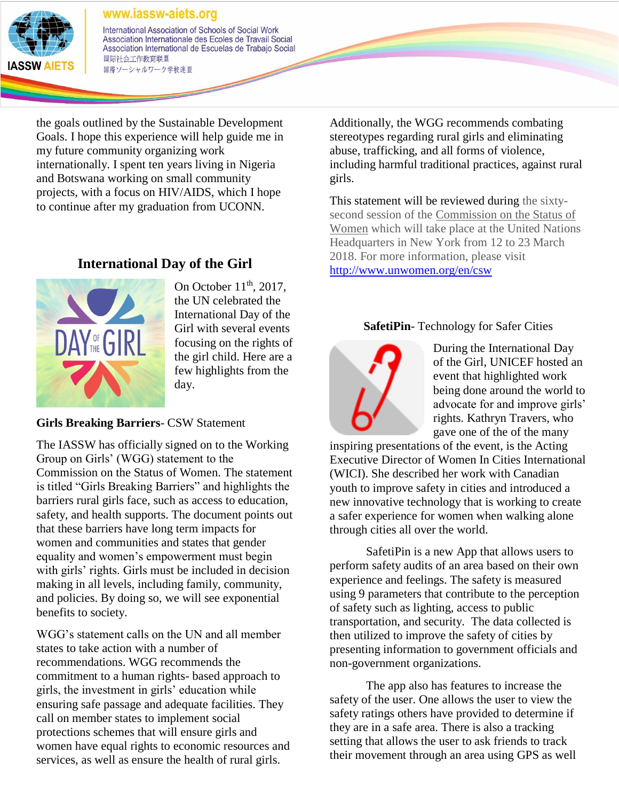

International Association of Schools of Social Work Association Internationale des Ecoles de Travail Social Association International de Escuelas de Trabajo Social 国际社会工作教育联盟 国際ソーシャルワーク学校連盟

the goals outlined by the Sustainable Development Goals. I hope this experience will help guide me in my future community organizing work internationally. I spent ten years living in Nigeria and Botswana working on small community projects, with a focus on HIV/AIDS, which I hope to continue after my graduation from UCONN.

## **International Day of the Girl**



On October  $11<sup>th</sup>$ , 2017, the UN celebrated the International Day of the Girl with several events focusing on the rights of the girl child. Here are a few highlights from the day.

**Girls Breaking Barriers**- CSW Statement

The IASSW has officially signed on to the Working Group on Girls' (WGG) statement to the Commission on the Status of Women. The statement is titled "Girls Breaking Barriers" and highlights the barriers rural girls face, such as access to education, safety, and health supports. The document points out that these barriers have long term impacts for women and communities and states that gender equality and women's empowerment must begin with girls' rights. Girls must be included in decision making in all levels, including family, community, and policies. By doing so, we will see exponential benefits to society.

WGG's statement calls on the UN and all member states to take action with a number of recommendations. WGG recommends the commitment to a human rights- based approach to girls, the investment in girls' education while ensuring safe passage and adequate facilities. They call on member states to implement social protections schemes that will ensure girls and women have equal rights to economic resources and services, as well as ensure the health of rural girls.

Additionally, the WGG recommends combating stereotypes regarding rural girls and eliminating abuse, trafficking, and all forms of violence, including harmful traditional practices, against rural girls.

This statement will be reviewed during the sixtysecond session of the [Commission on the Status of](http://www.unwomen.org/en/csw)  [Women](http://www.unwomen.org/en/csw) which will take place at the United Nations Headquarters in New York from 12 to 23 March 2018. For more information, please visit <http://www.unwomen.org/en/csw>

## **SafetiPin**- Technology for Safer Cities



During the International Day of the Girl, UNICEF hosted an event that highlighted work being done around the world to advocate for and improve girls' rights. Kathryn Travers, who gave one of the of the many

inspiring presentations of the event, is the Acting Executive Director of Women In Cities International (WICI). She described her work with Canadian youth to improve safety in cities and introduced a new innovative technology that is working to create a safer experience for women when walking alone through cities all over the world.

SafetiPin is a new App that allows users to perform safety audits of an area based on their own experience and feelings. The safety is measured using 9 parameters that contribute to the perception of safety such as lighting, access to public transportation, and security. The data collected is then utilized to improve the safety of cities by presenting information to government officials and non-government organizations.

The app also has features to increase the safety of the user. One allows the user to view the safety ratings others have provided to determine if they are in a safe area. There is also a tracking setting that allows the user to ask friends to track their movement through an area using GPS as well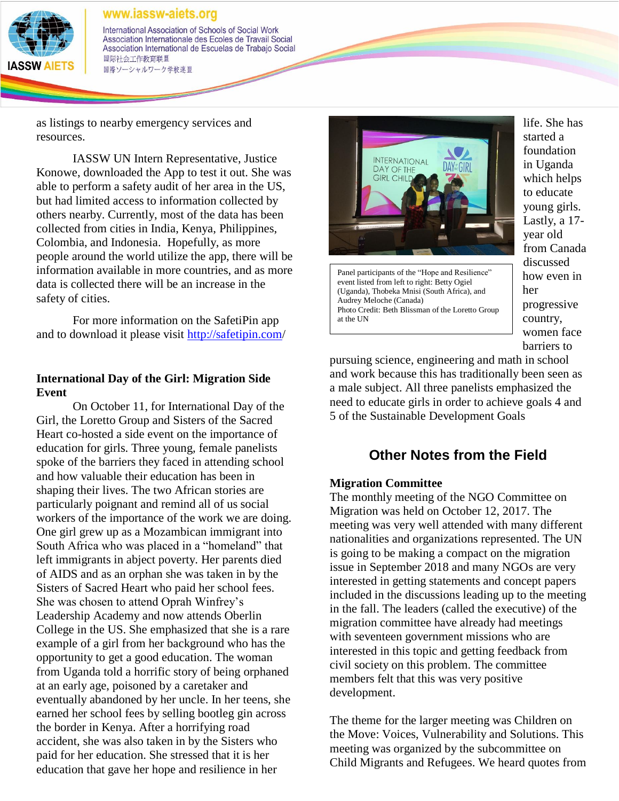

International Association of Schools of Social Work Association Internationale des Ecoles de Travail Social Association International de Escuelas de Trabajo Social 国际社会工作教育联盟 国際ソーシャルワーク学校連盟

as listings to nearby emergency services and resources.

IASSW UN Intern Representative, Justice Konowe, downloaded the App to test it out. She was able to perform a safety audit of her area in the US, but had limited access to information collected by others nearby. Currently, most of the data has been collected from cities in India, Kenya, Philippines, Colombia, and Indonesia. Hopefully, as more people around the world utilize the app, there will be information available in more countries, and as more data is collected there will be an increase in the safety of cities.

For more information on the SafetiPin app and to download it please visit<http://safetipin.com/>

#### **International Day of the Girl: Migration Side Event**

On October 11, for International Day of the Girl, the Loretto Group and Sisters of the Sacred Heart co-hosted a side event on the importance of education for girls. Three young, female panelists spoke of the barriers they faced in attending school and how valuable their education has been in shaping their lives. The two African stories are particularly poignant and remind all of us social workers of the importance of the work we are doing. One girl grew up as a Mozambican immigrant into South Africa who was placed in a "homeland" that left immigrants in abject poverty. Her parents died of AIDS and as an orphan she was taken in by the Sisters of Sacred Heart who paid her school fees. She was chosen to attend Oprah Winfrey's Leadership Academy and now attends Oberlin College in the US. She emphasized that she is a rare example of a girl from her background who has the opportunity to get a good education. The woman from Uganda told a horrific story of being orphaned at an early age, poisoned by a caretaker and eventually abandoned by her uncle. In her teens, she earned her school fees by selling bootleg gin across the border in Kenya. After a horrifying road accident, she was also taken in by the Sisters who paid for her education. She stressed that it is her education that gave her hope and resilience in her



Panel participants of the "Hope and Resilience" event listed from left to right: Betty Ogiel (Uganda), Thobeka Mnisi (South Africa), and Audrey Meloche (Canada) Photo Credit: Beth Blissman of the Loretto Group at the UN

life. She has started a foundation in Uganda which helps to educate young girls. Lastly, a 17 year old from Canada discussed how even in her progressive country, women face barriers to

pursuing science, engineering and math in school and work because this has traditionally been seen as a male subject. All three panelists emphasized the need to educate girls in order to achieve goals 4 and 5 of the Sustainable Development Goals

# **Other Notes from the Field**

#### **Migration Committee**

The monthly meeting of the NGO Committee on Migration was held on October 12, 2017. The meeting was very well attended with many different nationalities and organizations represented. The UN is going to be making a compact on the migration issue in September 2018 and many NGOs are very interested in getting statements and concept papers included in the discussions leading up to the meeting in the fall. The leaders (called the executive) of the migration committee have already had meetings with seventeen government missions who are interested in this topic and getting feedback from civil society on this problem. The committee members felt that this was very positive development.

The theme for the larger meeting was Children on the Move: Voices, Vulnerability and Solutions. This meeting was organized by the subcommittee on Child Migrants and Refugees. We heard quotes from